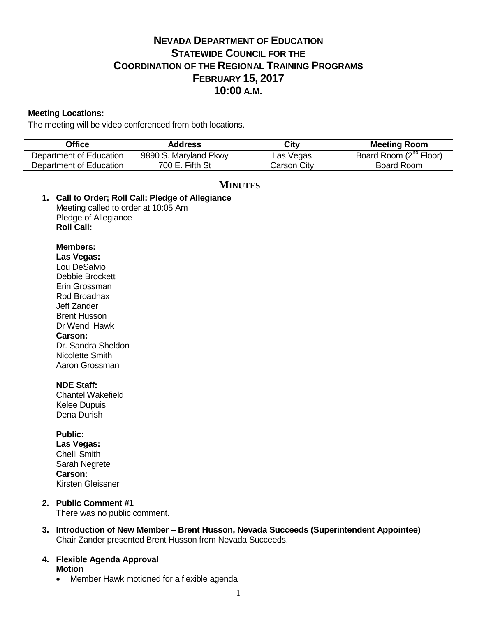# **NEVADA DEPARTMENT OF EDUCATION STATEWIDE COUNCIL FOR THE COORDINATION OF THE REGIONAL TRAINING PROGRAMS FEBRUARY 15, 2017 10:00 A.M.**

# **Meeting Locations:**

The meeting will be video conferenced from both locations.

| <b>Office</b>                                                                                                                                                     | <b>Address</b>                                                      | <b>City</b>        | <b>Meeting Room</b>                |
|-------------------------------------------------------------------------------------------------------------------------------------------------------------------|---------------------------------------------------------------------|--------------------|------------------------------------|
| Department of Education                                                                                                                                           | 9890 S. Maryland Pkwy                                               | Las Vegas          | Board Room (2 <sup>nd</sup> Floor) |
| Department of Education                                                                                                                                           | 700 E. Fifth St                                                     | <b>Carson City</b> | <b>Board Room</b>                  |
| Meeting called to order at 10:05 Am<br>Pledge of Allegiance<br><b>Roll Call:</b><br><b>Members:</b><br>Las Vegas:<br>Lou DeSalvio<br>Debbie Brockett              | <b>MINUTES</b><br>1. Call to Order; Roll Call: Pledge of Allegiance |                    |                                    |
| Erin Grossman<br>Rod Broadnax<br>Jeff Zander<br><b>Brent Husson</b><br>Dr Wendi Hawk<br><b>Carson:</b><br>Dr. Sandra Sheldon<br>Nicolette Smith<br>Aaron Grossman |                                                                     |                    |                                    |
| <b>NDE Staff:</b><br><b>Chantel Wakefield</b><br><b>Kelee Dupuis</b><br>Dena Durish                                                                               |                                                                     |                    |                                    |
| <b>Public:</b><br>Las Vegas:<br><b>Chelli Smith</b><br>Sarah Negrete<br><b>Carson:</b><br>Kirsten Gleissner                                                       |                                                                     |                    |                                    |
| <b>Public Comment #1</b><br>2.<br>There was no public comment.                                                                                                    |                                                                     |                    |                                    |

**3. Introduction of New Member – Brent Husson, Nevada Succeeds (Superintendent Appointee)** Chair Zander presented Brent Husson from Nevada Succeeds.

# **4. Flexible Agenda Approval Motion**

• Member Hawk motioned for a flexible agenda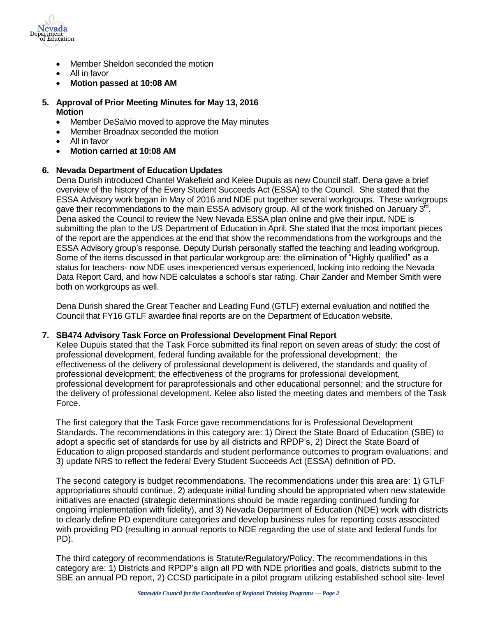

- Member Sheldon seconded the motion
- All in favor
- **Motion passed at 10:08 AM**
- **5. Approval of Prior Meeting Minutes for May 13, 2016 Motion**
	- Member DeSalvio moved to approve the May minutes
	- Member Broadnax seconded the motion
	- All in favor
	- **Motion carried at 10:08 AM**

# **6. Nevada Department of Education Updates**

Dena Durish introduced Chantel Wakefield and Kelee Dupuis as new Council staff. Dena gave a brief overview of the history of the Every Student Succeeds Act (ESSA) to the Council. She stated that the ESSA Advisory work began in May of 2016 and NDE put together several workgroups. These workgroups gave their recommendations to the main ESSA advisory group. All of the work finished on January  $3^{\bar{r}d}$ . Dena asked the Council to review the New Nevada ESSA plan online and give their input. NDE is submitting the plan to the US Department of Education in April. She stated that the most important pieces of the report are the appendices at the end that show the recommendations from the workgroups and the ESSA Advisory group's response. Deputy Durish personally staffed the teaching and leading workgroup. Some of the items discussed in that particular workgroup are: the elimination of "Highly qualified" as a status for teachers- now NDE uses inexperienced versus experienced, looking into redoing the Nevada Data Report Card, and how NDE calculates a school's star rating. Chair Zander and Member Smith were both on workgroups as well.

Dena Durish shared the Great Teacher and Leading Fund (GTLF) external evaluation and notified the Council that FY16 GTLF awardee final reports are on the Department of Education website.

## **7. SB474 Advisory Task Force on Professional Development Final Report**

Kelee Dupuis stated that the Task Force submitted its final report on seven areas of study: the cost of professional development, federal funding available for the professional development; the effectiveness of the delivery of professional development is delivered, the standards and quality of professional development; the effectiveness of the programs for professional development, professional development for paraprofessionals and other educational personnel; and the structure for the delivery of professional development. Kelee also listed the meeting dates and members of the Task Force.

The first category that the Task Force gave recommendations for is Professional Development Standards. The recommendations in this category are: 1) Direct the State Board of Education (SBE) to adopt a specific set of standards for use by all districts and RPDP's, 2) Direct the State Board of Education to align proposed standards and student performance outcomes to program evaluations, and 3) update NRS to reflect the federal Every Student Succeeds Act (ESSA) definition of PD.

The second category is budget recommendations. The recommendations under this area are: 1) GTLF appropriations should continue, 2) adequate initial funding should be appropriated when new statewide initiatives are enacted (strategic determinations should be made regarding continued funding for ongoing implementation with fidelity), and 3) Nevada Department of Education (NDE) work with districts to clearly define PD expenditure categories and develop business rules for reporting costs associated with providing PD (resulting in annual reports to NDE regarding the use of state and federal funds for PD).

The third category of recommendations is Statute/Regulatory/Policy. The recommendations in this category are: 1) Districts and RPDP's align all PD with NDE priorities and goals, districts submit to the SBE an annual PD report, 2) CCSD participate in a pilot program utilizing established school site- level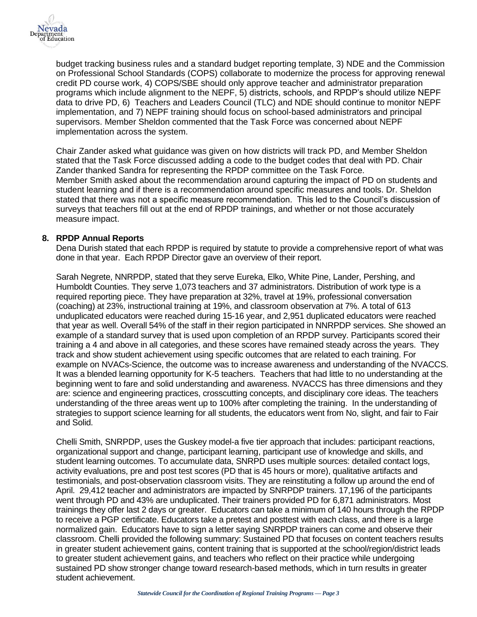

budget tracking business rules and a standard budget reporting template, 3) NDE and the Commission on Professional School Standards (COPS) collaborate to modernize the process for approving renewal credit PD course work, 4) COPS/SBE should only approve teacher and administrator preparation programs which include alignment to the NEPF, 5) districts, schools, and RPDP's should utilize NEPF data to drive PD, 6) Teachers and Leaders Council (TLC) and NDE should continue to monitor NEPF implementation, and 7) NEPF training should focus on school-based administrators and principal supervisors. Member Sheldon commented that the Task Force was concerned about NEPF implementation across the system.

Chair Zander asked what guidance was given on how districts will track PD, and Member Sheldon stated that the Task Force discussed adding a code to the budget codes that deal with PD. Chair Zander thanked Sandra for representing the RPDP committee on the Task Force. Member Smith asked about the recommendation around capturing the impact of PD on students and student learning and if there is a recommendation around specific measures and tools. Dr. Sheldon stated that there was not a specific measure recommendation. This led to the Council's discussion of surveys that teachers fill out at the end of RPDP trainings, and whether or not those accurately measure impact.

## **8. RPDP Annual Reports**

Dena Durish stated that each RPDP is required by statute to provide a comprehensive report of what was done in that year. Each RPDP Director gave an overview of their report.

Sarah Negrete, NNRPDP, stated that they serve Eureka, Elko, White Pine, Lander, Pershing, and Humboldt Counties. They serve 1,073 teachers and 37 administrators. Distribution of work type is a required reporting piece. They have preparation at 32%, travel at 19%, professional conversation (coaching) at 23%, instructional training at 19%, and classroom observation at 7%. A total of 613 unduplicated educators were reached during 15-16 year, and 2,951 duplicated educators were reached that year as well. Overall 54% of the staff in their region participated in NNRPDP services. She showed an example of a standard survey that is used upon completion of an RPDP survey. Participants scored their training a 4 and above in all categories, and these scores have remained steady across the years. They track and show student achievement using specific outcomes that are related to each training. For example on NVACs-Science, the outcome was to increase awareness and understanding of the NVACCS. It was a blended learning opportunity for K-5 teachers. Teachers that had little to no understanding at the beginning went to fare and solid understanding and awareness. NVACCS has three dimensions and they are: science and engineering practices, crosscutting concepts, and disciplinary core ideas. The teachers understanding of the three areas went up to 100% after completing the training. In the understanding of strategies to support science learning for all students, the educators went from No, slight, and fair to Fair and Solid.

Chelli Smith, SNRPDP, uses the Guskey model-a five tier approach that includes: participant reactions, organizational support and change, participant learning, participant use of knowledge and skills, and student learning outcomes. To accumulate data, SNRPD uses multiple sources: detailed contact logs, activity evaluations, pre and post test scores (PD that is 45 hours or more), qualitative artifacts and testimonials, and post-observation classroom visits. They are reinstituting a follow up around the end of April. 29,412 teacher and administrators are impacted by SNRPDP trainers. 17,196 of the participants went through PD and 43% are unduplicated. Their trainers provided PD for 6,871 administrators. Most trainings they offer last 2 days or greater. Educators can take a minimum of 140 hours through the RPDP to receive a PGP certificate. Educators take a pretest and posttest with each class, and there is a large normalized gain. Educators have to sign a letter saying SNRPDP trainers can come and observe their classroom. Chelli provided the following summary: Sustained PD that focuses on content teachers results in greater student achievement gains, content training that is supported at the school/region/district leads to greater student achievement gains, and teachers who reflect on their practice while undergoing sustained PD show stronger change toward research-based methods, which in turn results in greater student achievement.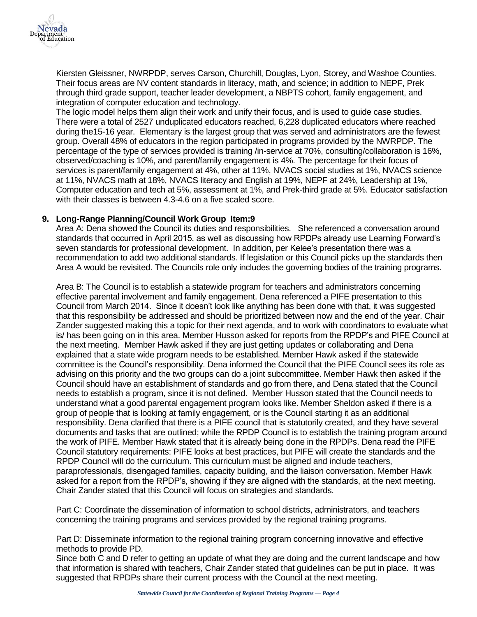

Kiersten Gleissner, NWRPDP, serves Carson, Churchill, Douglas, Lyon, Storey, and Washoe Counties. Their focus areas are NV content standards in literacy, math, and science; in addition to NEPF, Prek through third grade support, teacher leader development, a NBPTS cohort, family engagement, and integration of computer education and technology.

The logic model helps them align their work and unify their focus, and is used to guide case studies. There were a total of 2527 unduplicated educators reached, 6,228 duplicated educators where reached during the15-16 year. Elementary is the largest group that was served and administrators are the fewest group. Overall 48% of educators in the region participated in programs provided by the NWRPDP. The percentage of the type of services provided is training /in-service at 70%, consulting/collaboration is 16%, observed/coaching is 10%, and parent/family engagement is 4%. The percentage for their focus of services is parent/family engagement at 4%, other at 11%, NVACS social studies at 1%, NVACS science at 11%, NVACS math at 18%, NVACS literacy and English at 19%, NEPF at 24%, Leadership at 1%, Computer education and tech at 5%, assessment at 1%, and Prek-third grade at 5%. Educator satisfaction with their classes is between 4.3-4.6 on a five scaled score.

# **9. Long-Range Planning/Council Work Group Item:9**

Area A: Dena showed the Council its duties and responsibilities. She referenced a conversation around standards that occurred in April 2015, as well as discussing how RPDPs already use Learning Forward's seven standards for professional development. In addition, per Kelee's presentation there was a recommendation to add two additional standards. If legislation or this Council picks up the standards then Area A would be revisited. The Councils role only includes the governing bodies of the training programs.

Area B: The Council is to establish a statewide program for teachers and administrators concerning effective parental involvement and family engagement. Dena referenced a PIFE presentation to this Council from March 2014. Since it doesn't look like anything has been done with that, it was suggested that this responsibility be addressed and should be prioritized between now and the end of the year. Chair Zander suggested making this a topic for their next agenda, and to work with coordinators to evaluate what is/ has been going on in this area. Member Husson asked for reports from the RPDP's and PIFE Council at the next meeting. Member Hawk asked if they are just getting updates or collaborating and Dena explained that a state wide program needs to be established. Member Hawk asked if the statewide committee is the Council's responsibility. Dena informed the Council that the PIFE Council sees its role as advising on this priority and the two groups can do a joint subcommittee. Member Hawk then asked if the Council should have an establishment of standards and go from there, and Dena stated that the Council needs to establish a program, since it is not defined. Member Husson stated that the Council needs to understand what a good parental engagement program looks like. Member Sheldon asked if there is a group of people that is looking at family engagement, or is the Council starting it as an additional responsibility. Dena clarified that there is a PIFE council that is statutorily created, and they have several documents and tasks that are outlined; while the RPDP Council is to establish the training program around the work of PIFE. Member Hawk stated that it is already being done in the RPDPs. Dena read the PIFE Council statutory requirements: PIFE looks at best practices, but PIFE will create the standards and the RPDP Council will do the curriculum. This curriculum must be aligned and include teachers, paraprofessionals, disengaged families, capacity building, and the liaison conversation. Member Hawk asked for a report from the RPDP's, showing if they are aligned with the standards, at the next meeting. Chair Zander stated that this Council will focus on strategies and standards.

Part C: Coordinate the dissemination of information to school districts, administrators, and teachers concerning the training programs and services provided by the regional training programs.

Part D: Disseminate information to the regional training program concerning innovative and effective methods to provide PD.

Since both C and D refer to getting an update of what they are doing and the current landscape and how that information is shared with teachers, Chair Zander stated that guidelines can be put in place. It was suggested that RPDPs share their current process with the Council at the next meeting.